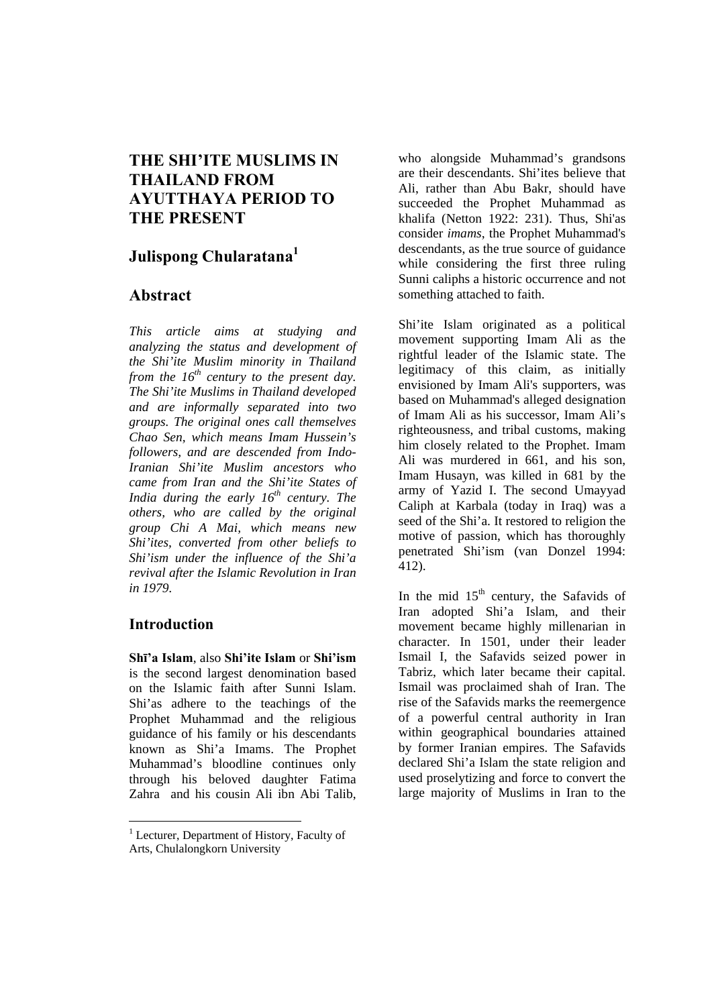# **THE SHI'ITE MUSLIMS IN THAILAND FROM AYUTTHAYA PERIOD TO THE PRESENT**

# **Julispong Chularatana1**

## **Abstract**

*This article aims at studying and analyzing the status and development of the Shi'ite Muslim minority in Thailand from the 16th century to the present day. The Shi'ite Muslims in Thailand developed and are informally separated into two groups. The original ones call themselves Chao Sen, which means Imam Hussein's followers, and are descended from Indo-Iranian Shi'ite Muslim ancestors who came from Iran and the Shi'ite States of India during the early 16th century. The others, who are called by the original group Chi A Mai, which means new Shi'ites, converted from other beliefs to Shi'ism under the influence of the Shi'a revival after the Islamic Revolution in Iran in 1979.* 

#### **Introduction**

1

**Shī'a Islam**, also **Shi'ite Islam** or **Shi'ism** is the second largest denomination based on the Islamic faith after Sunni Islam. Shi'as adhere to the teachings of the Prophet Muhammad and the religious guidance of his family or his descendants known as Shi'a Imams. The Prophet Muhammad's bloodline continues only through his beloved daughter Fatima Zahra and his cousin Ali ibn Abi Talib, who alongside Muhammad's grandsons are their descendants. Shi'ites believe that Ali, rather than Abu Bakr, should have succeeded the Prophet Muhammad as khalifa (Netton 1922: 231). Thus, Shi'as consider *imams*, the Prophet Muhammad's descendants, as the true source of guidance while considering the first three ruling Sunni caliphs a historic occurrence and not something attached to faith.

Shi'ite Islam originated as a political movement supporting Imam Ali as the rightful leader of the Islamic state. The legitimacy of this claim, as initially envisioned by Imam Ali's supporters, was based on Muhammad's alleged designation of Imam Ali as his successor, Imam Ali's righteousness, and tribal customs, making him closely related to the Prophet. Imam Ali was murdered in 661, and his son, Imam Husayn, was killed in 681 by the army of Yazid I. The second Umayyad Caliph at Karbala (today in Iraq) was a seed of the Shi'a. It restored to religion the motive of passion, which has thoroughly penetrated Shi'ism (van Donzel 1994: 412).

In the mid  $15<sup>th</sup>$  century, the Safavids of Iran adopted Shi'a Islam, and their movement became highly millenarian in character. In 1501, under their leader Ismail I, the Safavids seized power in Tabriz, which later became their capital. Ismail was proclaimed shah of Iran. The rise of the Safavids marks the reemergence of a powerful central authority in Iran within geographical boundaries attained by former Iranian empires. The Safavids declared Shi'a Islam the state religion and used proselytizing and force to convert the large majority of Muslims in Iran to the

<sup>&</sup>lt;sup>1</sup> Lecturer, Department of History, Faculty of Arts, Chulalongkorn University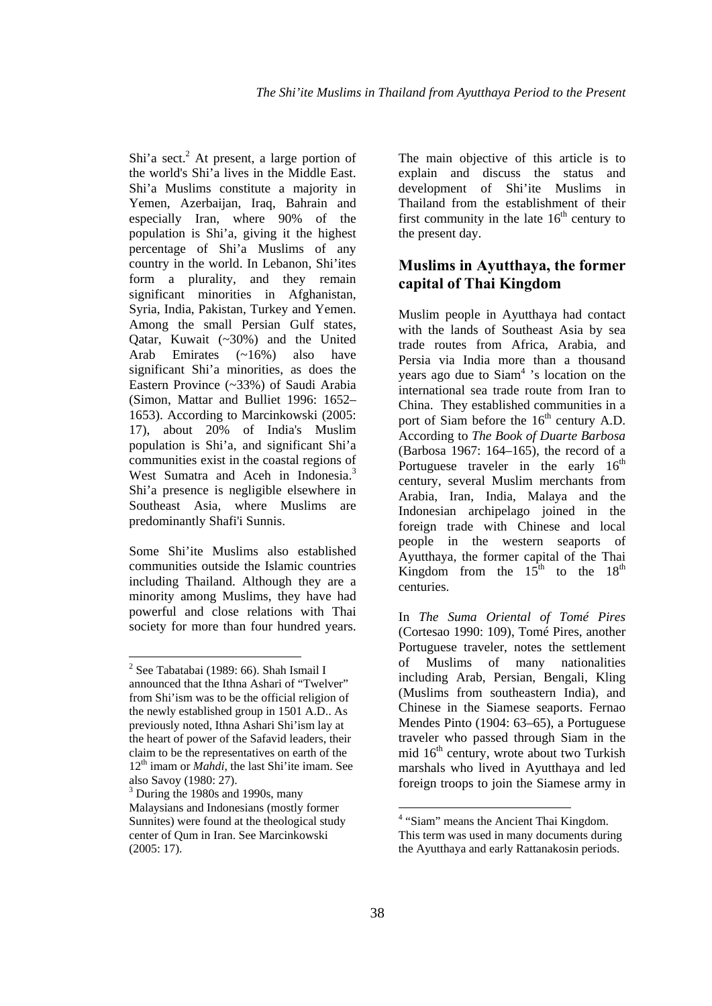Shi'a sect.<sup>2</sup> At present, a large portion of the world's Shi'a lives in the Middle East. Shi'a Muslims constitute a majority in Yemen, Azerbaijan, Iraq, Bahrain and especially Iran, where 90% of the population is Shi'a, giving it the highest percentage of Shi'a Muslims of any country in the world. In Lebanon, Shi'ites form a plurality, and they remain significant minorities in Afghanistan, Syria, India, Pakistan, Turkey and Yemen. Among the small Persian Gulf states, Qatar, Kuwait (~30%) and the United Arab Emirates (~16%) also have significant Shi'a minorities, as does the Eastern Province (~33%) of Saudi Arabia (Simon, Mattar and Bulliet 1996: 1652– 1653). According to Marcinkowski (2005: 17), about 20% of India's Muslim population is Shi'a, and significant Shi'a communities exist in the coastal regions of West Sumatra and Aceh in Indonesia.<sup>3</sup> Shi'a presence is negligible elsewhere in Southeast Asia, where Muslims are predominantly Shafi'i Sunnis.

Some Shi'ite Muslims also established communities outside the Islamic countries including Thailand. Although they are a minority among Muslims, they have had powerful and close relations with Thai society for more than four hundred years.

1

The main objective of this article is to explain and discuss the status and development of Shi'ite Muslims in Thailand from the establishment of their first community in the late  $16<sup>th</sup>$  century to the present day.

### **Muslims in Ayutthaya, the former capital of Thai Kingdom**

Muslim people in Ayutthaya had contact with the lands of Southeast Asia by sea trade routes from Africa, Arabia, and Persia via India more than a thousand years ago due to Siam<sup>4</sup> 's location on the international sea trade route from Iran to China. They established communities in a port of Siam before the  $16<sup>th</sup>$  century A.D. According to *The Book of Duarte Barbosa* (Barbosa 1967: 164–165), the record of a Portuguese traveler in the early  $16<sup>th</sup>$ century, several Muslim merchants from Arabia, Iran, India, Malaya and the Indonesian archipelago joined in the foreign trade with Chinese and local people in the western seaports of Ayutthaya, the former capital of the Thai Kingdom from the  $15<sup>th</sup>$  to the  $18<sup>th</sup>$ centuries.

In *The Suma Oriental of Tomé Pires* (Cortesao 1990: 109), Tomé Pires, another Portuguese traveler, notes the settlement of Muslims of many nationalities including Arab, Persian, Bengali, Kling (Muslims from southeastern India), and Chinese in the Siamese seaports. Fernao Mendes Pinto (1904: 63–65), a Portuguese traveler who passed through Siam in the mid  $16<sup>th</sup>$  century, wrote about two Turkish marshals who lived in Ayutthaya and led foreign troops to join the Siamese army in

<u>.</u>

<sup>&</sup>lt;sup>2</sup> See Tabatabai (1989: 66). Shah Ismail I announced that the Ithna Ashari of "Twelver" from Shi'ism was to be the official religion of the newly established group in 1501 A.D.. As previously noted, Ithna Ashari Shi'ism lay at the heart of power of the Safavid leaders, their claim to be the representatives on earth of the 12th imam or *Mahdi*, the last Shi'ite imam. See also Savoy (1980: 27).

<sup>&</sup>lt;sup>3</sup> During the 1980s and 1990s, many Malaysians and Indonesians (mostly former Sunnites) were found at the theological study center of Qum in Iran. See Marcinkowski (2005: 17).

<sup>&</sup>lt;sup>4</sup> "Siam" means the Ancient Thai Kingdom. This term was used in many documents during the Ayutthaya and early Rattanakosin periods.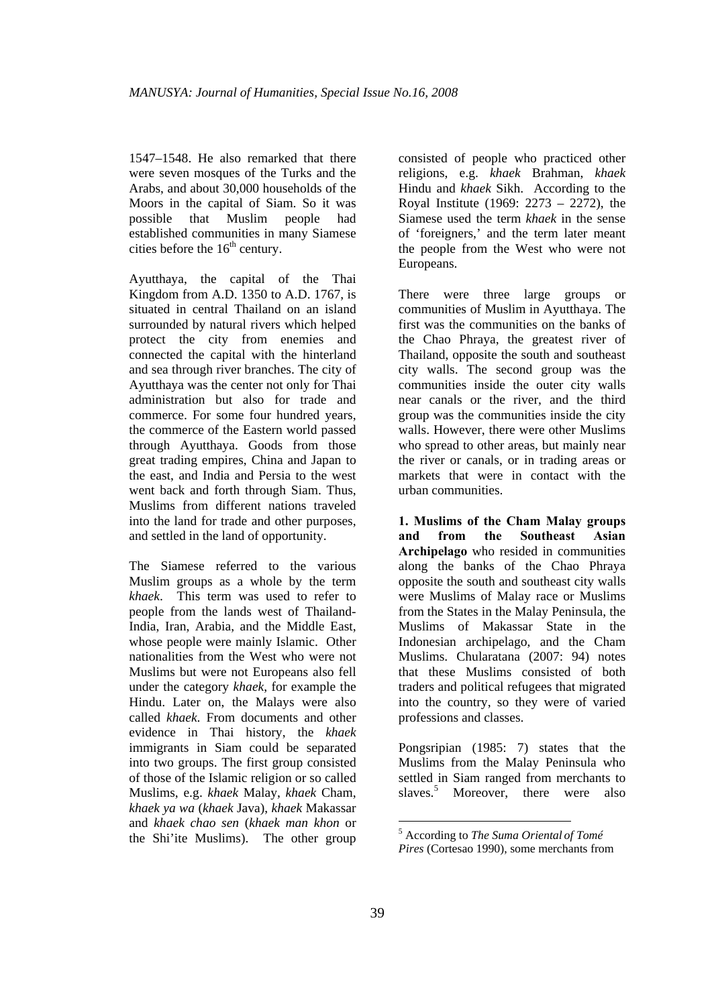1547–1548. He also remarked that there were seven mosques of the Turks and the Arabs, and about 30,000 households of the Moors in the capital of Siam. So it was possible that Muslim people had established communities in many Siamese cities before the  $16<sup>th</sup>$  century.

Ayutthaya, the capital of the Thai Kingdom from A.D. 1350 to A.D. 1767, is situated in central Thailand on an island surrounded by natural rivers which helped protect the city from enemies and connected the capital with the hinterland and sea through river branches. The city of Ayutthaya was the center not only for Thai administration but also for trade and commerce. For some four hundred years, the commerce of the Eastern world passed through Ayutthaya. Goods from those great trading empires, China and Japan to the east, and India and Persia to the west went back and forth through Siam. Thus, Muslims from different nations traveled into the land for trade and other purposes, and settled in the land of opportunity.

The Siamese referred to the various Muslim groups as a whole by the term *khaek*. This term was used to refer to people from the lands west of Thailand-India, Iran, Arabia, and the Middle East, whose people were mainly Islamic. Other nationalities from the West who were not Muslims but were not Europeans also fell under the category *khaek*, for example the Hindu. Later on, the Malays were also called *khaek*. From documents and other evidence in Thai history, the *khaek* immigrants in Siam could be separated into two groups. The first group consisted of those of the Islamic religion or so called Muslims, e.g. *khaek* Malay, *khaek* Cham, *khaek ya wa* (*khaek* Java), *khaek* Makassar and *khaek chao sen* (*khaek man khon* or the Shi'ite Muslims). The other group

consisted of people who practiced other religions, e.g. *khaek* Brahman, *khaek*  Hindu and *khaek* Sikh. According to the Royal Institute (1969: 2273 – 2272), the Siamese used the term *khaek* in the sense of 'foreigners,' and the term later meant the people from the West who were not Europeans.

There were three large groups or communities of Muslim in Ayutthaya. The first was the communities on the banks of the Chao Phraya, the greatest river of Thailand, opposite the south and southeast city walls. The second group was the communities inside the outer city walls near canals or the river, and the third group was the communities inside the city walls. However, there were other Muslims who spread to other areas, but mainly near the river or canals, or in trading areas or markets that were in contact with the urban communities.

**1. Muslims of the Cham Malay groups and from the Southeast Asian Archipelago** who resided in communities along the banks of the Chao Phraya opposite the south and southeast city walls were Muslims of Malay race or Muslims from the States in the Malay Peninsula, the Muslims of Makassar State in the Indonesian archipelago, and the Cham Muslims. Chularatana (2007: 94) notes that these Muslims consisted of both traders and political refugees that migrated into the country, so they were of varied professions and classes.

Pongsripian (1985: 7) states that the Muslims from the Malay Peninsula who settled in Siam ranged from merchants to slaves.<sup>5</sup> Moreover, there were also

<sup>5</sup> According to *The Suma Oriental of Tomé Pires* (Cortesao 1990), some merchants from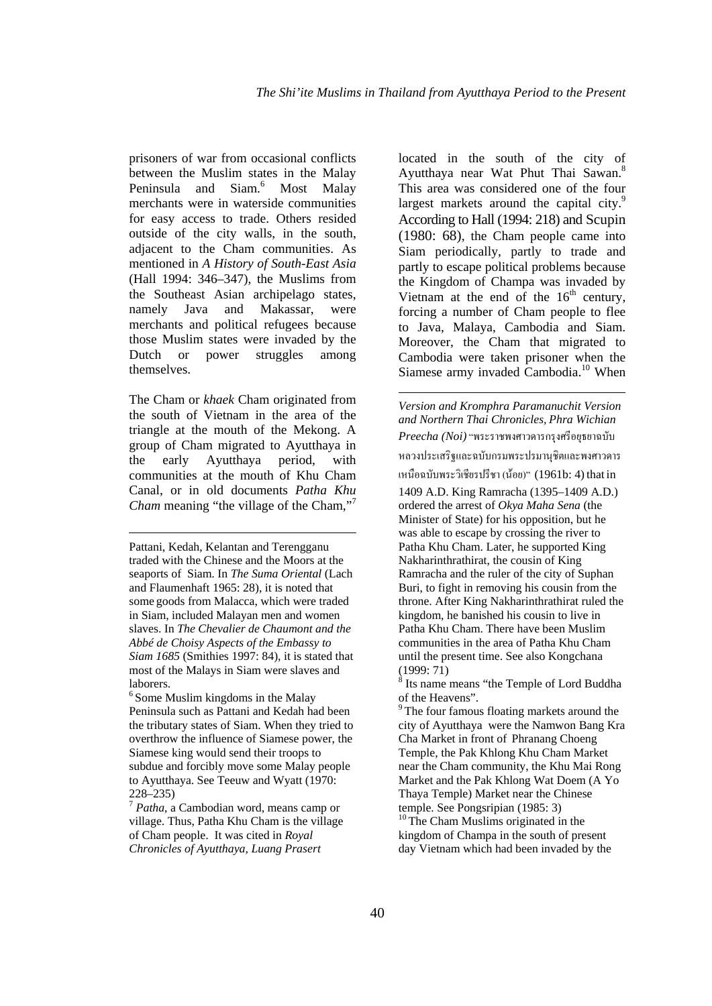1

prisoners of war from occasional conflicts between the Muslim states in the Malay Peninsula and Siam.<sup>6</sup> Most Malay merchants were in waterside communities for easy access to trade. Others resided outside of the city walls, in the south, adjacent to the Cham communities. As mentioned in *A History of South-East Asia* (Hall 1994: 346–347), the Muslims from the Southeast Asian archipelago states, namely Java and Makassar, were merchants and political refugees because those Muslim states were invaded by the Dutch or power struggles among themselves.

The Cham or *khaek* Cham originated from the south of Vietnam in the area of the triangle at the mouth of the Mekong. A group of Cham migrated to Ayutthaya in the early Ayutthaya period, with communities at the mouth of Khu Cham Canal, or in old documents *Patha Khu Cham* meaning "the village of the Cham,"<sup>7</sup>

Pattani, Kedah, Kelantan and Terengganu traded with the Chinese and the Moors at the seaports of Siam. In *The Suma Oriental* (Lach and Flaumenhaft 1965: 28), it is noted that some goods from Malacca, which were traded in Siam, included Malayan men and women slaves. In *The Chevalier de Chaumont and the Abbé de Choisy Aspects of the Embassy to Siam 1685* (Smithies 1997: 84), it is stated that most of the Malays in Siam were slaves and laborers.

1

 $6$  Some Muslim kingdoms in the Malay Peninsula such as Pattani and Kedah had been the tributary states of Siam. When they tried to overthrow the influence of Siamese power, the Siamese king would send their troops to subdue and forcibly move some Malay people to Ayutthaya. See Teeuw and Wyatt (1970: 228–235)

located in the south of the city of Ayutthaya near Wat Phut Thai Sawan.8 This area was considered one of the four largest markets around the capital city.<sup>9</sup> According to Hall (1994: 218) and Scupin (1980: 68), the Cham people came into Siam periodically, partly to trade and partly to escape political problems because the Kingdom of Champa was invaded by Vietnam at the end of the  $16<sup>th</sup>$  century, forcing a number of Cham people to flee to Java, Malaya, Cambodia and Siam. Moreover, the Cham that migrated to Cambodia were taken prisoner when the Siamese army invaded Cambodia.<sup>10</sup> When

*Version and Kromphra Paramanuchit Version and Northern Thai Chronicles, Phra Wichian Preecha (Noi)* "พระราชพงศาวดารกรุงศรีอยุธยาฉบับ

หลวงประเสริฐและฉบับกรมพระปรมานุชิตและพงศาวดาร

เหนือฉบับพระวิเชียรปรีชา (น้อย)"  $(1961b: 4)$  that in

1409 A.D. King Ramracha (1395–1409 A.D.) ordered the arrest of *Okya Maha Sena* (the Minister of State) for his opposition, but he was able to escape by crossing the river to Patha Khu Cham. Later, he supported King Nakharinthrathirat, the cousin of King Ramracha and the ruler of the city of Suphan Buri, to fight in removing his cousin from the throne. After King Nakharinthrathirat ruled the kingdom, he banished his cousin to live in Patha Khu Cham. There have been Muslim communities in the area of Patha Khu Cham until the present time. See also Kongchana (1999: 71)

8 Its name means "the Temple of Lord Buddha of the Heavens".

<sup>9</sup> The four famous floating markets around the city of Ayutthaya were the Namwon Bang Kra Cha Market in front of Phranang Choeng Temple, the Pak Khlong Khu Cham Market near the Cham community, the Khu Mai Rong Market and the Pak Khlong Wat Doem (A Yo Thaya Temple) Market near the Chinese temple. See Pongsripian (1985: 3) <sup>10</sup> The Cham Muslims originated in the kingdom of Champa in the south of present day Vietnam which had been invaded by the

<sup>7</sup> *Patha*, a Cambodian word, means camp or village. Thus, Patha Khu Cham is the village of Cham people. It was cited in *Royal Chronicles of Ayutthaya, Luang Prasert*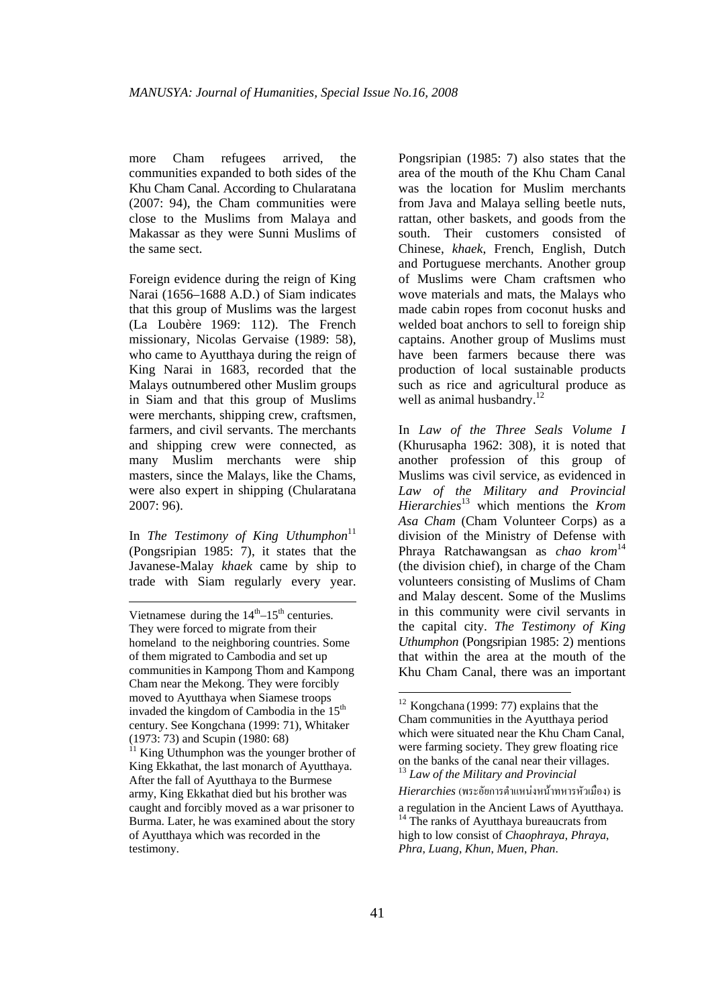more Cham refugees arrived, the communities expanded to both sides of the Khu Cham Canal. According to Chularatana (2007: 94), the Cham communities were close to the Muslims from Malaya and Makassar as they were Sunni Muslims of the same sect.

Foreign evidence during the reign of King Narai (1656–1688 A.D.) of Siam indicates that this group of Muslims was the largest (La Loubère 1969: 112). The French missionary, Nicolas Gervaise (1989: 58), who came to Ayutthaya during the reign of King Narai in 1683, recorded that the Malays outnumbered other Muslim groups in Siam and that this group of Muslims were merchants, shipping crew, craftsmen, farmers, and civil servants. The merchants and shipping crew were connected, as many Muslim merchants were ship masters, since the Malays, like the Chams, were also expert in shipping (Chularatana 2007: 96).

In *The Testimony of King Uthumphon*<sup>11</sup> (Pongsripian 1985: 7), it states that the Javanese-Malay *khaek* came by ship to trade with Siam regularly every year.

<u>.</u>

Pongsripian (1985: 7) also states that the area of the mouth of the Khu Cham Canal was the location for Muslim merchants from Java and Malaya selling beetle nuts, rattan, other baskets, and goods from the south. Their customers consisted of Chinese, *khaek*, French, English, Dutch and Portuguese merchants. Another group of Muslims were Cham craftsmen who wove materials and mats, the Malays who made cabin ropes from coconut husks and welded boat anchors to sell to foreign ship captains. Another group of Muslims must have been farmers because there was production of local sustainable products such as rice and agricultural produce as well as animal husbandry. $12$ 

In *Law of the Three Seals Volume I* (Khurusapha 1962: 308), it is noted that another profession of this group of Muslims was civil service, as evidenced in *Law of the Military and Provincial Hierarchies*13 which mentions the *Krom Asa Cham* (Cham Volunteer Corps) as a division of the Ministry of Defense with Phraya Ratchawangsan as *chao krom*<sup>14</sup> (the division chief), in charge of the Cham volunteers consisting of Muslims of Cham and Malay descent. Some of the Muslims in this community were civil servants in the capital city. *The Testimony of King Uthumphon* (Pongsripian 1985: 2) mentions that within the area at the mouth of the Khu Cham Canal, there was an important

<u>.</u>

Vietnamese during the  $14<sup>th</sup> - 15<sup>th</sup>$  centuries. They were forced to migrate from their homeland to the neighboring countries. Some of them migrated to Cambodia and set up communitiesin Kampong Thom and Kampong Cham near the Mekong. They were forcibly moved to Ayutthaya when Siamese troops invaded the kingdom of Cambodia in the 15<sup>th</sup> century. See Kongchana (1999: 71), Whitaker (1973: 73) and Scupin (1980: 68)

 $11$  King Uthumphon was the younger brother of King Ekkathat, the last monarch of Ayutthaya. After the fall of Ayutthaya to the Burmese army, King Ekkathat died but his brother was caught and forcibly moved as a war prisoner to Burma. Later, he was examined about the story of Ayutthaya which was recorded in the testimony.

 $12$  Kongchana (1999: 77) explains that the Cham communities in the Ayutthaya period which were situated near the Khu Cham Canal, were farming society. They grew floating rice on the banks of the canal near their villages. <sup>13</sup> *Law of the Military and Provincial* 

*Hierarchies* (พระอัยการตําแหนงหนาทหารหัวเมือง) is a regulation in the Ancient Laws of Ayutthaya. <sup>14</sup> The ranks of Ayutthaya bureaucrats from high to low consist of *Chaophraya*, *Phraya*, *Phra*, *Luang*, *Khun*, *Muen*, *Phan*.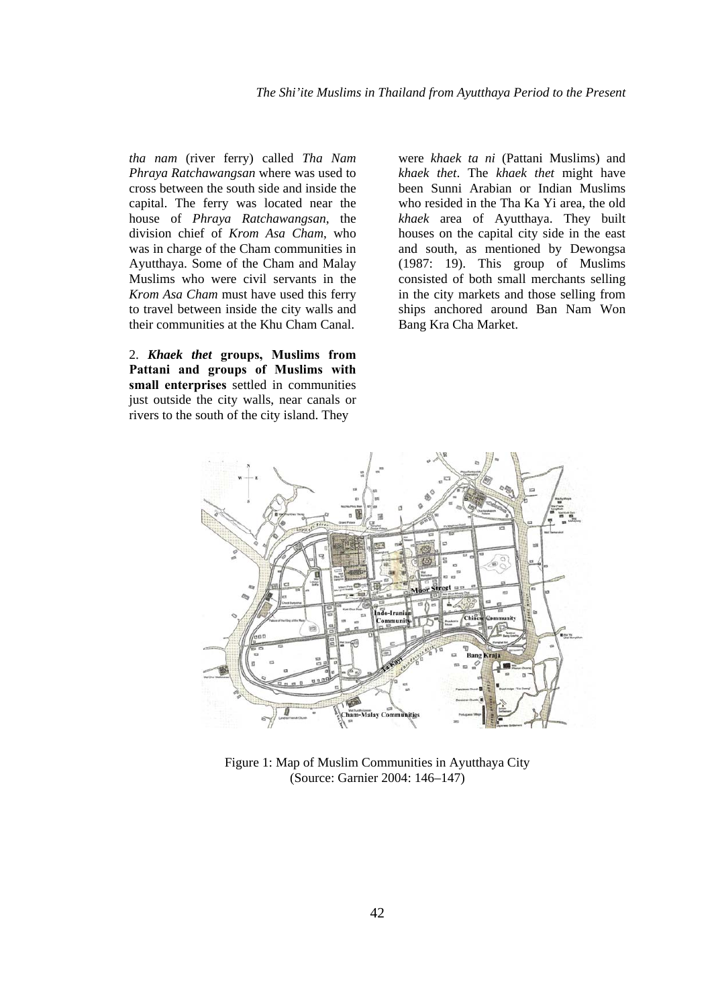*tha nam* (river ferry) called *Tha Nam Phraya Ratchawangsan* where was used to cross between the south side and inside the capital. The ferry was located near the house of *Phraya Ratchawangsan*, the division chief of *Krom Asa Cham*, who was in charge of the Cham communities in Ayutthaya. Some of the Cham and Malay Muslims who were civil servants in the *Krom Asa Cham* must have used this ferry to travel between inside the city walls and their communities at the Khu Cham Canal.

2. *Khaek thet* **groups, Muslims from Pattani and groups of Muslims with small enterprises** settled in communities just outside the city walls, near canals or rivers to the south of the city island. They

were *khaek ta ni* (Pattani Muslims) and *khaek thet*. The *khaek thet* might have been Sunni Arabian or Indian Muslims who resided in the Tha Ka Yi area, the old *khaek* area of Ayutthaya. They built houses on the capital city side in the east and south, as mentioned by Dewongsa (1987: 19). This group of Muslims consisted of both small merchants selling in the city markets and those selling from ships anchored around Ban Nam Won Bang Kra Cha Market.



Figure 1: Map of Muslim Communities in Ayutthaya City (Source: Garnier 2004: 146–147)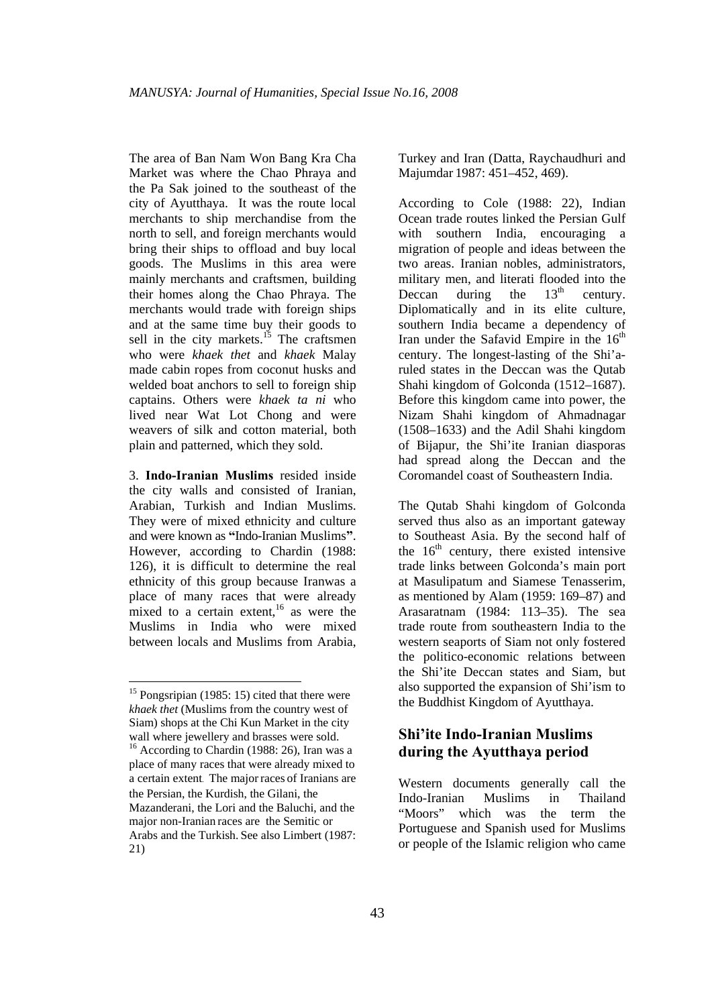The area of Ban Nam Won Bang Kra Cha Market was where the Chao Phraya and the Pa Sak joined to the southeast of the city of Ayutthaya. It was the route local merchants to ship merchandise from the north to sell, and foreign merchants would bring their ships to offload and buy local goods. The Muslims in this area were mainly merchants and craftsmen, building their homes along the Chao Phraya. The merchants would trade with foreign ships and at the same time buy their goods to sell in the city markets.<sup>15</sup> The craftsmen who were *khaek thet* and *khaek* Malay made cabin ropes from coconut husks and welded boat anchors to sell to foreign ship captains. Others were *khaek ta ni* who lived near Wat Lot Chong and were weavers of silk and cotton material, both plain and patterned, which they sold.

3. **Indo-Iranian Muslims** resided inside the city walls and consisted of Iranian, Arabian, Turkish and Indian Muslims. They were of mixed ethnicity and culture and were known as **"**Indo-Iranian Muslims**"**. However, according to Chardin (1988: 126), it is difficult to determine the real ethnicity of this group because Iranwas a place of many races that were already mixed to a certain extent, $16$  as were the Muslims in India who were mixed between locals and Muslims from Arabia,

1

Turkey and Iran (Datta, Raychaudhuri and Majumdar 1987: 451–452, 469).

According to Cole (1988: 22), Indian Ocean trade routes linked the Persian Gulf with southern India, encouraging a migration of people and ideas between the two areas. Iranian nobles, administrators, military men, and literati flooded into the<br>Deccan during the  $13<sup>th</sup>$  century. Deccan during the  $13<sup>th</sup>$  century. Diplomatically and in its elite culture, southern India became a dependency of Iran under the Safavid Empire in the  $16<sup>th</sup>$ century. The longest-lasting of the Shi'aruled states in the Deccan was the Qutab Shahi kingdom of Golconda (1512–1687). Before this kingdom came into power, the Nizam Shahi kingdom of Ahmadnagar (1508–1633) and the Adil Shahi kingdom of Bijapur, the Shi'ite Iranian diasporas had spread along the Deccan and the Coromandel coast of Southeastern India.

The Qutab Shahi kingdom of Golconda served thus also as an important gateway to Southeast Asia. By the second half of the  $16<sup>th</sup>$  century, there existed intensive trade links between Golconda's main port at Masulipatum and Siamese Tenasserim, as mentioned by Alam (1959: 169–87) and Arasaratnam (1984: 113–35). The sea trade route from southeastern India to the western seaports of Siam not only fostered the politico-economic relations between the Shi'ite Deccan states and Siam, but also supported the expansion of Shi'ism to the Buddhist Kingdom of Ayutthaya.

## **Shi'ite Indo-Iranian Muslims during the Ayutthaya period**

Western documents generally call the Indo-Iranian Muslims in Thailand "Moors" which was the term the Portuguese and Spanish used for Muslims or people of the Islamic religion who came

 $15$  Pongsripian (1985: 15) cited that there were *khaek thet* (Muslims from the country west of Siam) shops at the Chi Kun Market in the city wall where jewellery and brasses were sold. 16 According to Chardin (1988: 26), Iran was a

place of many races that were already mixed to a certain extent. The majorraces of Iranians are the Persian, the Kurdish, the Gilani, the Mazanderani, the Lori and the Baluchi, and the major non-Iranian races are the Semitic or Arabs and the Turkish. See also Limbert (1987: 21)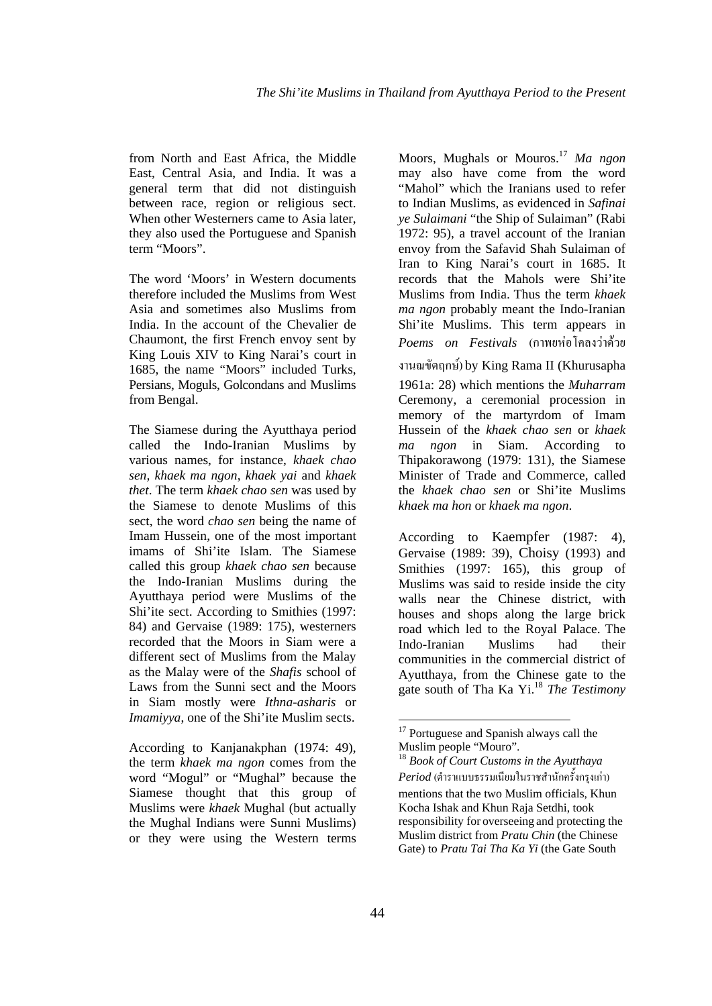from North and East Africa, the Middle East, Central Asia, and India. It was a general term that did not distinguish between race, region or religious sect. When other Westerners came to Asia later, they also used the Portuguese and Spanish term "Moors".

The word 'Moors' in Western documents therefore included the Muslims from West Asia and sometimes also Muslims from India. In the account of the Chevalier de Chaumont, the first French envoy sent by King Louis XIV to King Narai's court in 1685, the name "Moors" included Turks, Persians, Moguls, Golcondans and Muslims from Bengal.

The Siamese during the Ayutthaya period called the Indo-Iranian Muslims by various names, for instance, *khaek chao sen, khaek ma ngon*, *khaek yai* and *khaek thet*. The term *khaek chao sen* was used by the Siamese to denote Muslims of this sect, the word *chao sen* being the name of Imam Hussein, one of the most important imams of Shi'ite Islam. The Siamese called this group *khaek chao sen* because the Indo-Iranian Muslims during the Ayutthaya period were Muslims of the Shi'ite sect. According to Smithies (1997: 84) and Gervaise (1989: 175), westerners recorded that the Moors in Siam were a different sect of Muslims from the Malay as the Malay were of the *Shafis* school of Laws from the Sunni sect and the Moors in Siam mostly were *Ithna-asharis* or *Imamiyya*, one of the Shi'ite Muslim sects.

According to Kanjanakphan (1974: 49), the term *khaek ma ngon* comes from the word "Mogul" or "Mughal" because the Siamese thought that this group of Muslims were *khaek* Mughal (but actually the Mughal Indians were Sunni Muslims) or they were using the Western terms Moors, Mughals or Mouros.<sup>17</sup> *Ma ngon*  may also have come from the word "Mahol" which the Iranians used to refer to Indian Muslims, as evidenced in *Safinai ye Sulaimani* "the Ship of Sulaiman" (Rabi 1972: 95), a travel account of the Iranian envoy from the Safavid Shah Sulaiman of Iran to King Narai's court in 1685. It records that the Mahols were Shi'ite Muslims from India. Thus the term *khaek ma ngon* probably meant the Indo-Iranian Shi'ite Muslims. This term appears in *Poems on Festivals* (กาพยหอโคลงวาดวย

งานณขัตฤกษ) by King Rama II (Khurusapha 1961a: 28) which mentions the *Muharram* Ceremony, a ceremonial procession in memory of the martyrdom of Imam Hussein of the *khaek chao sen* or *khaek ma ngon* in Siam. According to Thipakorawong (1979: 131), the Siamese Minister of Trade and Commerce, called the *khaek chao sen* or Shi'ite Muslims *khaek ma hon* or *khaek ma ngon*.

According to Kaempfer (1987: 4), Gervaise (1989: 39), Choisy (1993) and Smithies (1997: 165), this group of Muslims was said to reside inside the city walls near the Chinese district, with houses and shops along the large brick road which led to the Royal Palace. The Indo-Iranian Muslims had their communities in the commercial district of Ayutthaya, from the Chinese gate to the gate south of Tha Ka Yi.<sup>18</sup> *The Testimony* 

<sup>&</sup>lt;sup>17</sup> Portuguese and Spanish always call the Muslim people "Mouro".

<sup>18</sup> *Book of Court Customs in the Ayutthaya Period* (ตำราแบบธรรมเนียมในราชสำนักครั้งกรงเก่า)

mentions that the two Muslim officials, Khun Kocha Ishak and Khun Raja Setdhi, took responsibility for overseeing and protecting the Muslim district from *Pratu Chin* (the Chinese Gate) to *Pratu Tai Tha Ka Yi* (the Gate South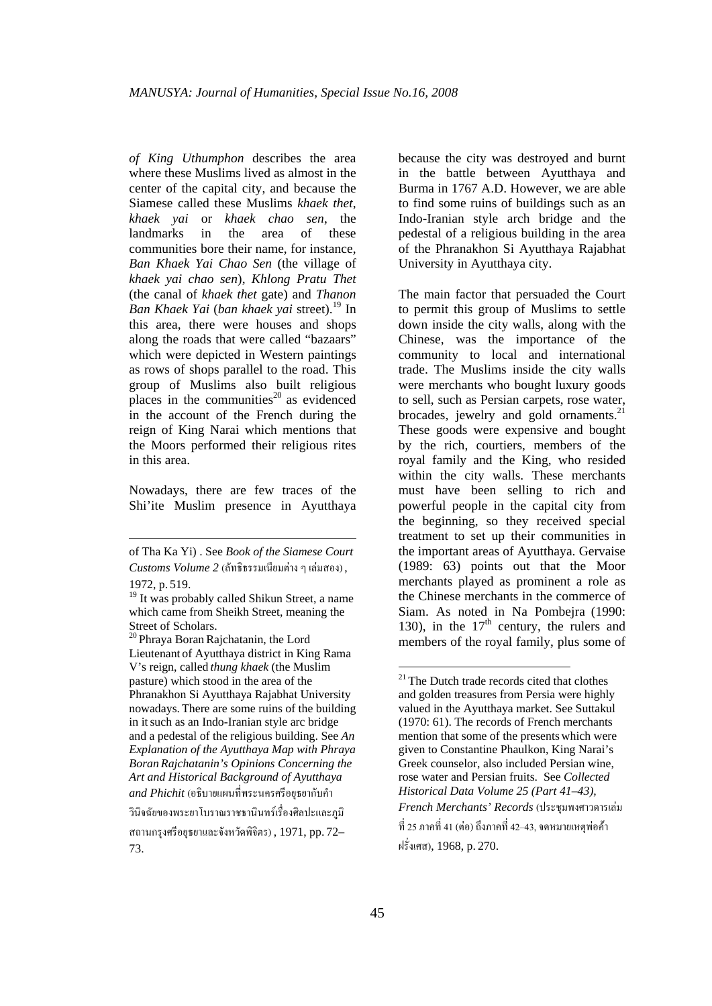*of King Uthumphon* describes the area where these Muslims lived as almost in the center of the capital city, and because the Siamese called these Muslims *khaek thet*, *khaek yai* or *khaek chao sen*, the landmarks in the area of these communities bore their name, for instance, *Ban Khaek Yai Chao Sen* (the village of *khaek yai chao sen*), *Khlong Pratu Thet* (the canal of *khaek thet* gate) and *Thanon Ban Khaek Yai* (*ban khaek yai* street).19 In this area, there were houses and shops along the roads that were called "bazaars" which were depicted in Western paintings as rows of shops parallel to the road. This group of Muslims also built religious places in the communities<sup>20</sup> as evidenced in the account of the French during the reign of King Narai which mentions that the Moors performed their religious rites in this area.

Nowadays, there are few traces of the Shi'ite Muslim presence in Ayutthaya

1

73.

วินิจฉัยของพระยาโบราณราชธานินทรเรื่องศิลปะและภูมิ

because the city was destroyed and burnt in the battle between Ayutthaya and Burma in 1767 A.D. However, we are able to find some ruins of buildings such as an Indo-Iranian style arch bridge and the pedestal of a religious building in the area of the Phranakhon Si Ayutthaya Rajabhat University in Ayutthaya city.

The main factor that persuaded the Court to permit this group of Muslims to settle down inside the city walls, along with the Chinese, was the importance of the community to local and international trade. The Muslims inside the city walls were merchants who bought luxury goods to sell, such as Persian carpets, rose water, brocades, jewelry and gold ornaments.<sup>21</sup> These goods were expensive and bought by the rich, courtiers, members of the royal family and the King, who resided within the city walls. These merchants must have been selling to rich and powerful people in the capital city from the beginning, so they received special treatment to set up their communities in the important areas of Ayutthaya. Gervaise (1989: 63) points out that the Moor merchants played as prominent a role as the Chinese merchants in the commerce of Siam. As noted in Na Pombejra (1990: 130), in the  $17<sup>th</sup>$  century, the rulers and members of the royal family, plus some of

of Tha Ka Yi) . See *Book of the Siamese Court Customs Volume 2* (ลัทธิธรรมเนียมตาง ๆ เลมสอง) , 1972, p. 519.

<sup>&</sup>lt;sup>19</sup> It was probably called Shikun Street, a name which came from Sheikh Street, meaning the Street of Scholars.

<sup>&</sup>lt;sup>20</sup> Phraya Boran Rajchatanin, the Lord Lieutenant of Ayutthaya district in King Rama V's reign, called *thung khaek* (the Muslim pasture) which stood in the area of the Phranakhon Si Ayutthaya Rajabhat University nowadays. There are some ruins of the building in itsuch as an Indo-Iranian style arc bridge and a pedestal of the religious building. See *An Explanation of the Ayutthaya Map with Phraya Boran Rajchatanin's Opinions Concerning the Art and Historical Background of Ayutthaya and Phichit* (อธิบายแผนที่พระนครศรีอยุธยากับคำ

สถานกรุงศรีอยุธยาและจังหวัดพิจิตร) , 1971, pp. 72–

<sup>&</sup>lt;sup>21</sup> The Dutch trade records cited that clothes and golden treasures from Persia were highly valued in the Ayutthaya market. See Suttakul (1970: 61). The records of French merchants mention that some of the presents which were given to Constantine Phaulkon, King Narai's Greek counselor, also included Persian wine, rose water and Persian fruits. See *Collected Historical Data Volume 25 (Part 41–43), French Merchants' Records* (ประชุมพงศาวดารเลม ที่ 25 ภาคที่ 41 (ตอ) ถึงภาคที่ 42–43, จดหมายเหตุพอคา ฝรั่งเศส), 1968, p. 270.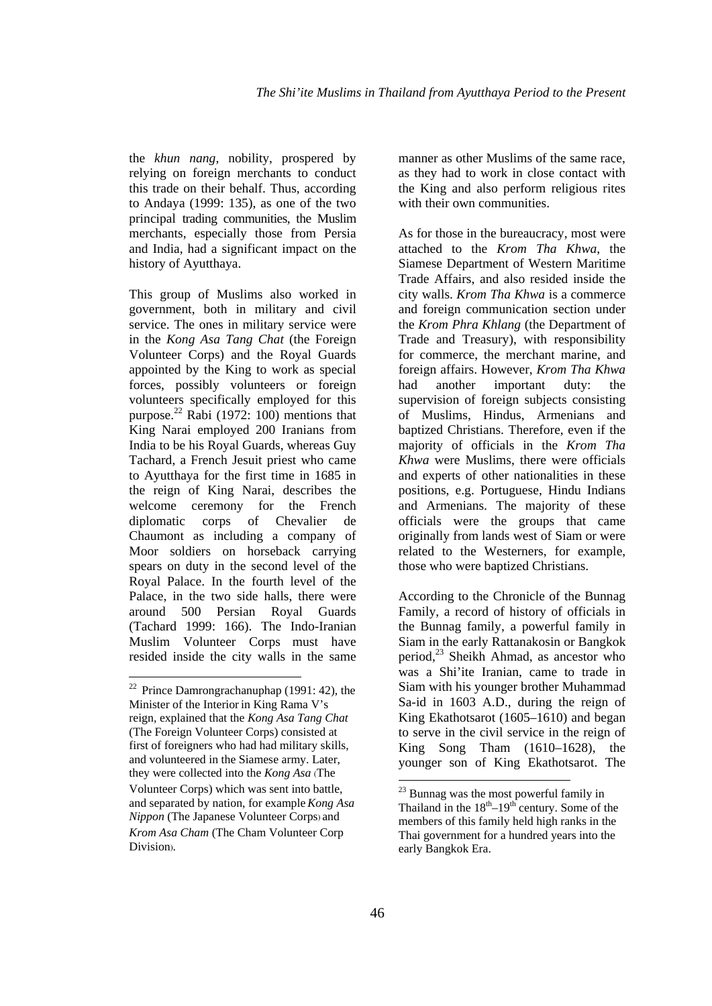the *khun nang*, nobility, prospered by relying on foreign merchants to conduct this trade on their behalf. Thus, according to Andaya (1999: 135), as one of the two principal trading communities, the Muslim merchants, especially those from Persia and India, had a significant impact on the history of Ayutthaya.

This group of Muslims also worked in government, both in military and civil service. The ones in military service were in the *Kong Asa Tang Chat* (the Foreign Volunteer Corps) and the Royal Guards appointed by the King to work as special forces, possibly volunteers or foreign volunteers specifically employed for this purpose.<sup>22</sup> Rabi (1972: 100) mentions that King Narai employed 200 Iranians from India to be his Royal Guards, whereas Guy Tachard, a French Jesuit priest who came to Ayutthaya for the first time in 1685 in the reign of King Narai, describes the welcome ceremony for the French diplomatic corps of Chevalier de Chaumont as including a company of Moor soldiers on horseback carrying spears on duty in the second level of the Royal Palace. In the fourth level of the Palace, in the two side halls, there were around 500 Persian Royal Guards (Tachard 1999: 166). The Indo-Iranian Muslim Volunteer Corps must have resided inside the city walls in the same

<u>.</u>

manner as other Muslims of the same race, as they had to work in close contact with the King and also perform religious rites with their own communities.

As for those in the bureaucracy, most were attached to the *Krom Tha Khwa*, the Siamese Department of Western Maritime Trade Affairs, and also resided inside the city walls. *Krom Tha Khwa* is a commerce and foreign communication section under the *Krom Phra Khlang* (the Department of Trade and Treasury), with responsibility for commerce, the merchant marine, and foreign affairs. However, *Krom Tha Khwa* had another important duty: the supervision of foreign subjects consisting of Muslims, Hindus, Armenians and baptized Christians. Therefore, even if the majority of officials in the *Krom Tha Khwa* were Muslims, there were officials and experts of other nationalities in these positions, e.g. Portuguese, Hindu Indians and Armenians. The majority of these officials were the groups that came originally from lands west of Siam or were related to the Westerners, for example, those who were baptized Christians.

According to the Chronicle of the Bunnag Family, a record of history of officials in the Bunnag family, a powerful family in Siam in the early Rattanakosin or Bangkok period,<sup>23</sup> Sheikh Ahmad, as ancestor who was a Shi'ite Iranian, came to trade in Siam with his younger brother Muhammad Sa-id in 1603 A.D., during the reign of King Ekathotsarot (1605–1610) and began to serve in the civil service in the reign of King Song Tham (1610–1628), the younger son of King Ekathotsarot. The

<sup>&</sup>lt;sup>22</sup> Prince Damrongrachanuphap (1991: 42), the Minister of the Interior in King Rama V's reign, explained that the *Kong Asa Tang Chat*  (The Foreign Volunteer Corps) consisted at first of foreigners who had had military skills, and volunteered in the Siamese army. Later, they were collected into the *Kong Asa* (The Volunteer Corps) which was sent into battle, and separated by nation, for example*Kong Asa Nippon* (The Japanese Volunteer Corps) and *Krom Asa Cham* (The Cham Volunteer Corp Division).

<sup>&</sup>lt;sup>23</sup> Bunnag was the most powerful family in Thailand in the  $18<sup>th</sup> - 19<sup>th</sup>$  century. Some of the members of this family held high ranks in the Thai government for a hundred years into the early Bangkok Era.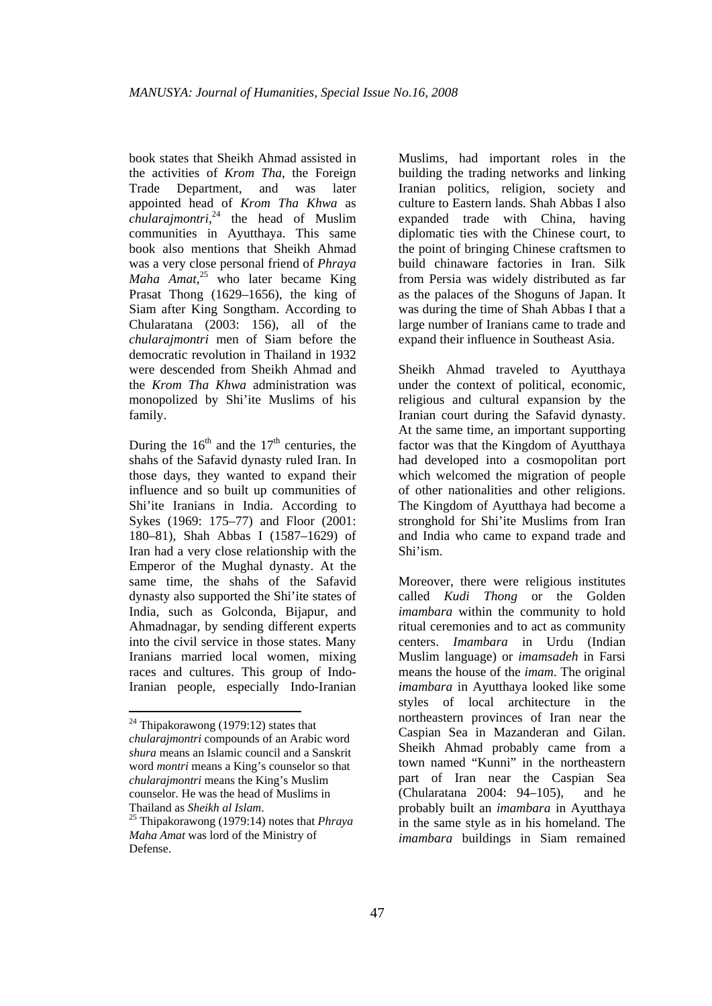book states that Sheikh Ahmad assisted in the activities of *Krom Tha*, the Foreign Trade Department, and was later appointed head of *Krom Tha Khwa* as *chularajmontri*, 24 the head of Muslim communities in Ayutthaya. This same book also mentions that Sheikh Ahmad was a very close personal friend of *Phraya Maha Amat*, 25 who later became King Prasat Thong (1629–1656), the king of Siam after King Songtham. According to Chularatana (2003: 156), all of the *chularajmontri* men of Siam before the democratic revolution in Thailand in 1932 were descended from Sheikh Ahmad and the *Krom Tha Khwa* administration was monopolized by Shi'ite Muslims of his family.

During the  $16<sup>th</sup>$  and the  $17<sup>th</sup>$  centuries, the shahs of the Safavid dynasty ruled Iran. In those days, they wanted to expand their influence and so built up communities of Shi'ite Iranians in India. According to Sykes (1969: 175–77) and Floor (2001: 180–81), Shah Abbas I (1587–1629) of Iran had a very close relationship with the Emperor of the Mughal dynasty. At the same time, the shahs of the Safavid dynasty also supported the Shi'ite states of India, such as Golconda, Bijapur, and Ahmadnagar, by sending different experts into the civil service in those states. Many Iranians married local women, mixing races and cultures. This group of Indo-Iranian people, especially Indo-Iranian

1

Muslims, had important roles in the building the trading networks and linking Iranian politics, religion, society and culture to Eastern lands. Shah Abbas I also expanded trade with China, having diplomatic ties with the Chinese court, to the point of bringing Chinese craftsmen to build chinaware factories in Iran. Silk from Persia was widely distributed as far as the palaces of the Shoguns of Japan. It was during the time of Shah Abbas I that a large number of Iranians came to trade and expand their influence in Southeast Asia.

Sheikh Ahmad traveled to Ayutthaya under the context of political, economic, religious and cultural expansion by the Iranian court during the Safavid dynasty. At the same time, an important supporting factor was that the Kingdom of Ayutthaya had developed into a cosmopolitan port which welcomed the migration of people of other nationalities and other religions. The Kingdom of Ayutthaya had become a stronghold for Shi'ite Muslims from Iran and India who came to expand trade and Shi'ism.

Moreover, there were religious institutes called *Kudi Thong* or the Golden *imambara* within the community to hold ritual ceremonies and to act as community centers. *Imambara* in Urdu (Indian Muslim language) or *imamsadeh* in Farsi means the house of the *imam*. The original *imambara* in Ayutthaya looked like some styles of local architecture in the northeastern provinces of Iran near the Caspian Sea in Mazanderan and Gilan. Sheikh Ahmad probably came from a town named "Kunni" in the northeastern part of Iran near the Caspian Sea (Chularatana 2004: 94–105), and he probably built an *imambara* in Ayutthaya in the same style as in his homeland. The *imambara* buildings in Siam remained

 $24$  Thipakorawong (1979:12) states that *chularajmontri* compounds of an Arabic word *shura* means an Islamic council and a Sanskrit word *montri* means a King's counselor so that *chularajmontri* means the King's Muslim counselor. He was the head of Muslims in

Thailand as *Sheikh al Islam*. 25 Thipakorawong (1979:14) notes that *Phraya Maha Amat* was lord of the Ministry of Defense.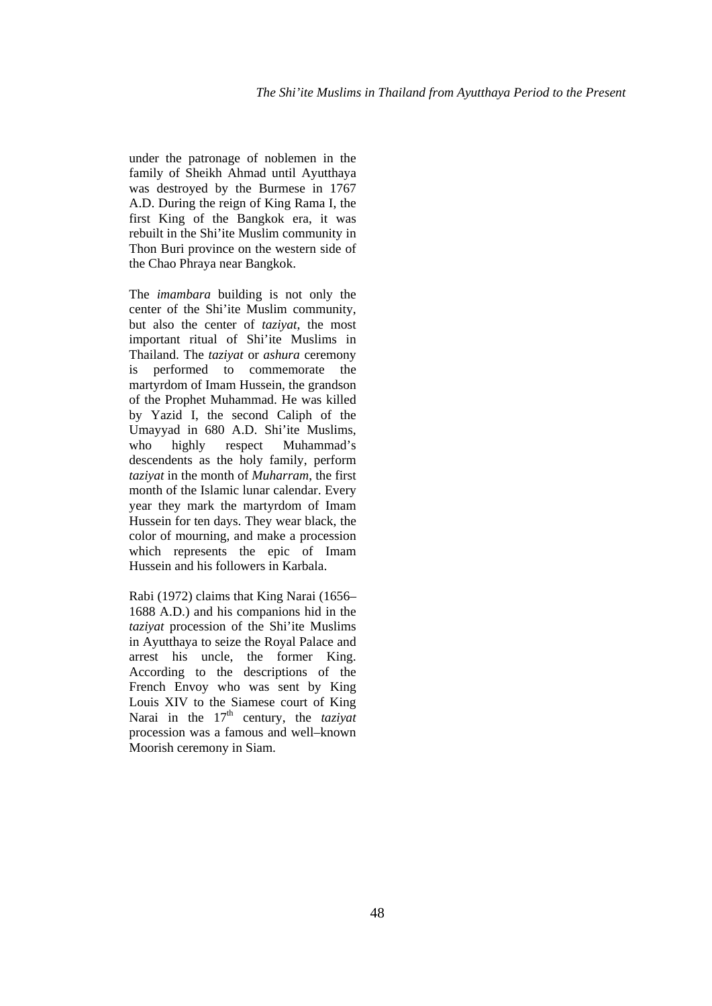under the patronage of noblemen in the family of Sheikh Ahmad until Ayutthaya was destroyed by the Burmese in 1767 A.D. During the reign of King Rama I, the first King of the Bangkok era, it was rebuilt in the Shi'ite Muslim community in Thon Buri province on the western side of the Chao Phraya near Bangkok.

The *imambara* building is not only the center of the Shi'ite Muslim community, but also the center of *taziyat*, the most important ritual of Shi'ite Muslims in Thailand. The *taziyat* or *ashura* ceremony is performed to commemorate the martyrdom of Imam Hussein, the grandson of the Prophet Muhammad. He was killed by Yazid I, the second Caliph of the Umayyad in 680 A.D. Shi'ite Muslims, who highly respect Muhammad's descendents as the holy family, perform *taziyat* in the month of *Muharram*, the first month of the Islamic lunar calendar. Every year they mark the martyrdom of Imam Hussein for ten days. They wear black, the color of mourning, and make a procession which represents the epic of Imam Hussein and his followers in Karbala.

Rabi (1972) claims that King Narai (1656– 1688 A.D.) and his companions hid in the *taziyat* procession of the Shi'ite Muslims in Ayutthaya to seize the Royal Palace and arrest his uncle, the former King. According to the descriptions of the French Envoy who was sent by King Louis XIV to the Siamese court of King Narai in the 17<sup>th</sup> century, the *taziyat* procession was a famous and well–known Moorish ceremony in Siam.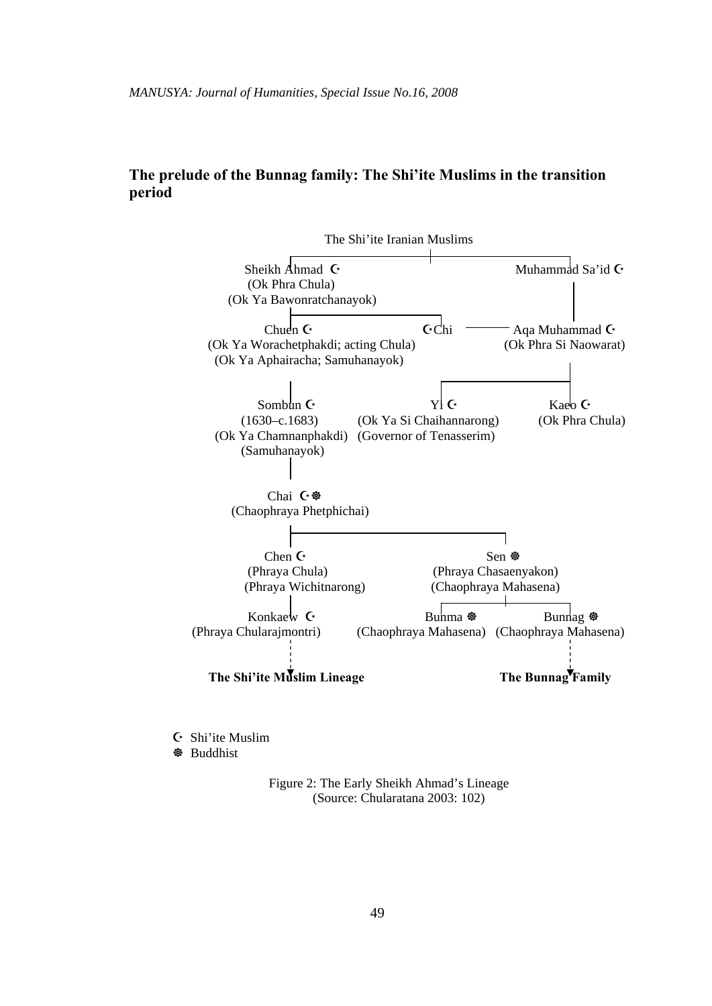### **The prelude of the Bunnag family: The Shi'ite Muslims in the transition period**



 $\epsilon$  Shi'ite Muslim **<sup>参</sup>** Buddhist

> Figure 2: The Early Sheikh Ahmad's Lineage (Source: Chularatana 2003: 102)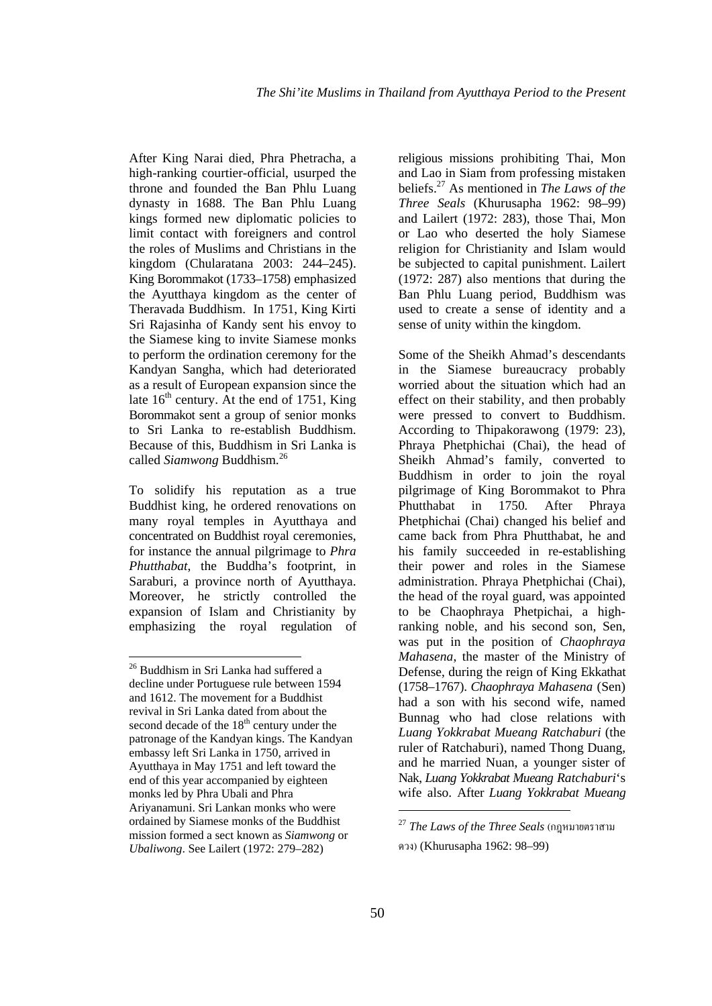After King Narai died, Phra Phetracha, a high-ranking courtier-official, usurped the throne and founded the Ban Phlu Luang dynasty in 1688. The Ban Phlu Luang kings formed new diplomatic policies to limit contact with foreigners and control the roles of Muslims and Christians in the kingdom (Chularatana 2003: 244–245). King Borommakot (1733–1758) emphasized the Ayutthaya kingdom as the center of Theravada Buddhism. In 1751, King Kirti Sri Rajasinha of Kandy sent his envoy to the Siamese king to invite Siamese monks to perform the ordination ceremony for the Kandyan Sangha, which had deteriorated as a result of European expansion since the late  $16<sup>th</sup>$  century. At the end of 1751, King Borommakot sent a group of senior monks to Sri Lanka to re-establish Buddhism. Because of this, Buddhism in Sri Lanka is called *Siamwong* Buddhism.26

To solidify his reputation as a true Buddhist king, he ordered renovations on many royal temples in Ayutthaya and concentrated on Buddhist royal ceremonies, for instance the annual pilgrimage to *Phra Phutthabat*, the Buddha's footprint, in Saraburi, a province north of Ayutthaya. Moreover, he strictly controlled the expansion of Islam and Christianity by emphasizing the royal regulation of

1

religious missions prohibiting Thai, Mon and Lao in Siam from professing mistaken beliefs.27 As mentioned in *The Laws of the Three Seals* (Khurusapha 1962: 98–99) and Lailert (1972: 283), those Thai, Mon or Lao who deserted the holy Siamese religion for Christianity and Islam would be subjected to capital punishment. Lailert (1972: 287) also mentions that during the Ban Phlu Luang period, Buddhism was used to create a sense of identity and a sense of unity within the kingdom.

Some of the Sheikh Ahmad's descendants in the Siamese bureaucracy probably worried about the situation which had an effect on their stability, and then probably were pressed to convert to Buddhism. According to Thipakorawong (1979: 23), Phraya Phetphichai (Chai), the head of Sheikh Ahmad's family, converted to Buddhism in order to join the royal pilgrimage of King Borommakot to Phra Phutthabat in 1750*.* After Phraya Phetphichai (Chai) changed his belief and came back from Phra Phutthabat, he and his family succeeded in re-establishing their power and roles in the Siamese administration. Phraya Phetphichai (Chai), the head of the royal guard, was appointed to be Chaophraya Phetpichai, a highranking noble, and his second son, Sen, was put in the position of *Chaophraya Mahasena*, the master of the Ministry of Defense, during the reign of King Ekkathat (1758–1767). *Chaophraya Mahasena* (Sen) had a son with his second wife, named Bunnag who had close relations with *Luang Yokkrabat Mueang Ratchaburi* (the ruler of Ratchaburi), named Thong Duang, and he married Nuan, a younger sister of Nak, *Luang Yokkrabat Mueang Ratchaburi*'s wife also. After *Luang Yokkrabat Mueang* 

<sup>26</sup> Buddhism in Sri Lanka had suffered a decline under Portuguese rule between 1594 and 1612. The movement for a Buddhist revival in Sri Lanka dated from about the second decade of the  $18<sup>th</sup>$  century under the patronage of the Kandyan kings. The Kandyan embassy left Sri Lanka in 1750, arrived in Ayutthaya in May 1751 and left toward the end of this year accompanied by eighteen monks led by Phra Ubali and Phra Ariyanamuni. Sri Lankan monks who were ordained by Siamese monks of the Buddhist mission formed a sect known as *Siamwong* or *Ubaliwong*. See Lailert (1972: 279–282)

<sup>27</sup> *The Laws of the Three Seals* (กฎหมายตราสาม

ดวง) (Khurusapha 1962: 98–99)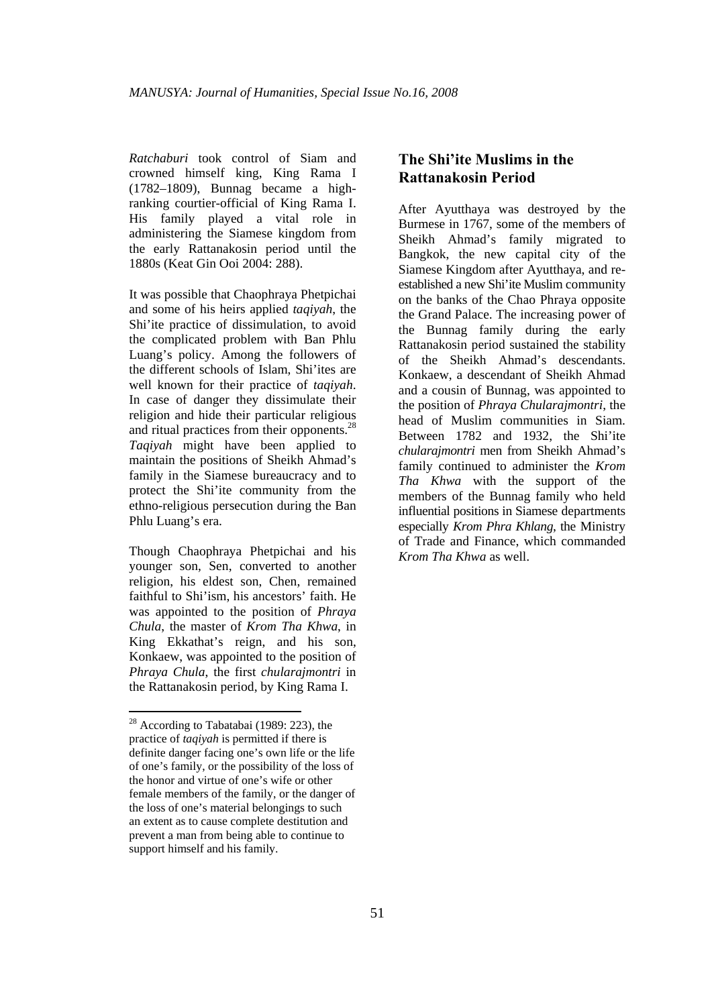*Ratchaburi* took control of Siam and crowned himself king, King Rama I (1782–1809), Bunnag became a highranking courtier-official of King Rama I. His family played a vital role in administering the Siamese kingdom from the early Rattanakosin period until the 1880s (Keat Gin Ooi 2004: 288).

It was possible that Chaophraya Phetpichai and some of his heirs applied *taqiyah*, the Shi'ite practice of dissimulation, to avoid the complicated problem with Ban Phlu Luang's policy. Among the followers of the different schools of Islam, Shi'ites are well known for their practice of *taqiyah*. In case of danger they dissimulate their religion and hide their particular religious and ritual practices from their opponents.28 *Taqiyah* might have been applied to maintain the positions of Sheikh Ahmad's family in the Siamese bureaucracy and to protect the Shi'ite community from the ethno-religious persecution during the Ban Phlu Luang's era.

Though Chaophraya Phetpichai and his younger son, Sen, converted to another religion, his eldest son, Chen, remained faithful to Shi'ism, his ancestors' faith. He was appointed to the position of *Phraya Chula*, the master of *Krom Tha Khwa*, in King Ekkathat's reign, and his son, Konkaew, was appointed to the position of *Phraya Chula*, the first *chularajmontri* in the Rattanakosin period, by King Rama I.

1

## **The Shi'ite Muslims in the Rattanakosin Period**

After Ayutthaya was destroyed by the Burmese in 1767, some of the members of Sheikh Ahmad's family migrated to Bangkok, the new capital city of the Siamese Kingdom after Ayutthaya, and reestablished a new Shi'ite Muslim community on the banks of the Chao Phraya opposite the Grand Palace. The increasing power of the Bunnag family during the early Rattanakosin period sustained the stability of the Sheikh Ahmad's descendants. Konkaew, a descendant of Sheikh Ahmad and a cousin of Bunnag, was appointed to the position of *Phraya Chularajmontri*, the head of Muslim communities in Siam. Between 1782 and 1932, the Shi'ite *chularajmontri* men from Sheikh Ahmad's family continued to administer the *Krom Tha Khwa* with the support of the members of the Bunnag family who held influential positions in Siamese departments especially *Krom Phra Khlang*, the Ministry of Trade and Finance, which commanded *Krom Tha Khwa* as well.

 $28$  According to Tabatabai (1989: 223), the practice of *taqiyah* is permitted if there is definite danger facing one's own life or the life of one's family, or the possibility of the loss of the honor and virtue of one's wife or other female members of the family, or the danger of the loss of one's material belongings to such an extent as to cause complete destitution and prevent a man from being able to continue to support himself and his family.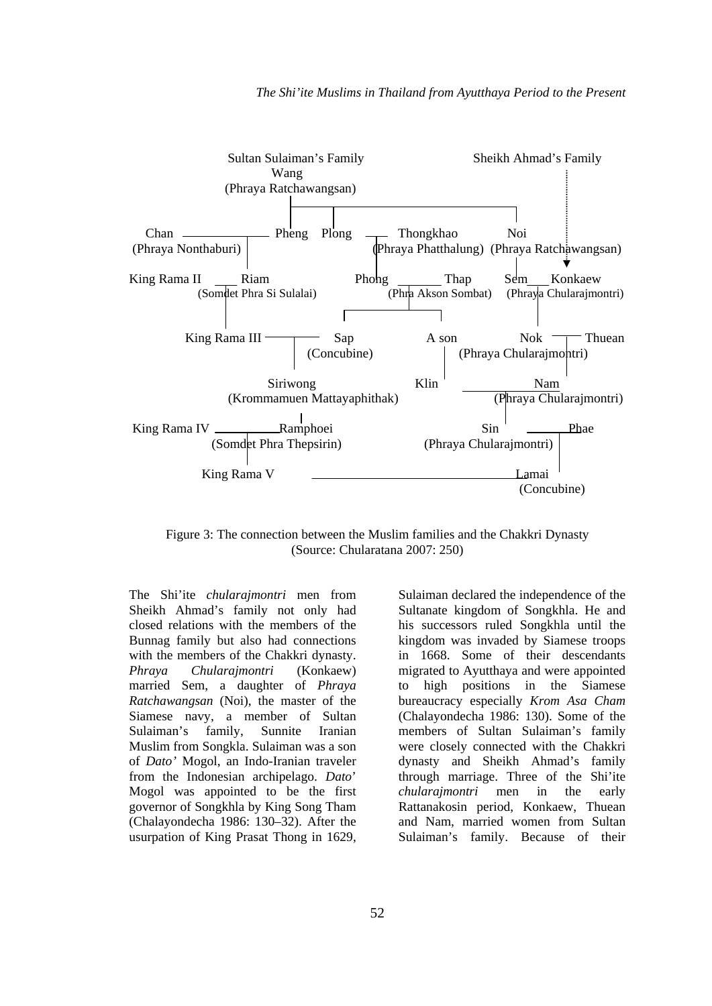

Figure 3: The connection between the Muslim families and the Chakkri Dynasty (Source: Chularatana 2007: 250)

The Shi'ite *chularajmontri* men from Sheikh Ahmad's family not only had closed relations with the members of the Bunnag family but also had connections with the members of the Chakkri dynasty. *Phraya Chularajmontri* (Konkaew) married Sem, a daughter of *Phraya Ratchawangsan* (Noi), the master of the Siamese navy, a member of Sultan Sulaiman's family, Sunnite Iranian Muslim from Songkla. Sulaiman was a son of *Dato'* Mogol, an Indo-Iranian traveler from the Indonesian archipelago. *Dato*' Mogol was appointed to be the first governor of Songkhla by King Song Tham (Chalayondecha 1986: 130–32). After the usurpation of King Prasat Thong in 1629, Sulaiman declared the independence of the Sultanate kingdom of Songkhla. He and his successors ruled Songkhla until the kingdom was invaded by Siamese troops in 1668. Some of their descendants migrated to Ayutthaya and were appointed to high positions in the Siamese bureaucracy especially *Krom Asa Cham*  (Chalayondecha 1986: 130). Some of the members of Sultan Sulaiman's family were closely connected with the Chakkri dynasty and Sheikh Ahmad's family through marriage. Three of the Shi'ite *chularajmontri* men in the early Rattanakosin period, Konkaew, Thuean and Nam, married women from Sultan Sulaiman's family. Because of their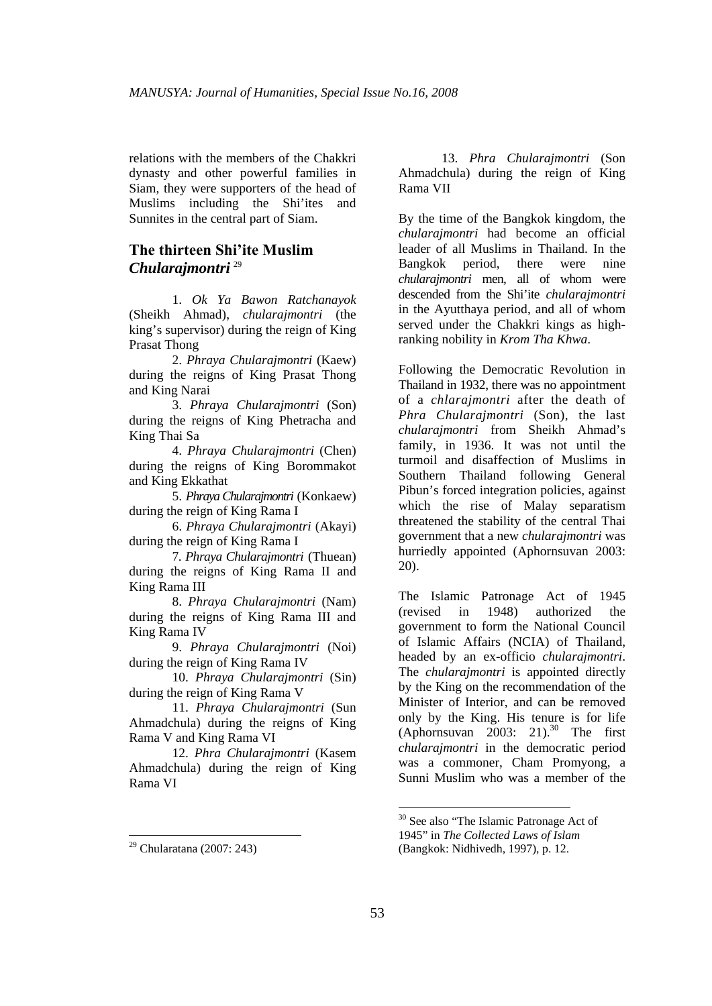relations with the members of the Chakkri dynasty and other powerful families in Siam, they were supporters of the head of Muslims including the Shi'ites and Sunnites in the central part of Siam.

#### **The thirteen Shi'ite Muslim** *Chularajmontri* <sup>29</sup>

1. *Ok Ya Bawon Ratchanayok*  (Sheikh Ahmad), *chularajmontri* (the king's supervisor) during the reign of King Prasat Thong

2. *Phraya Chularajmontri* (Kaew) during the reigns of King Prasat Thong and King Narai

3. *Phraya Chularajmontri* (Son) during the reigns of King Phetracha and King Thai Sa

4. *Phraya Chularajmontri* (Chen) during the reigns of King Borommakot and King Ekkathat

5. *Phraya Chularajmontri* (Konkaew) during the reign of King Rama I

6. *Phraya Chularajmontri* (Akayi) during the reign of King Rama I

7. *Phraya Chularajmontri* (Thuean) during the reigns of King Rama II and King Rama III

8. *Phraya Chularajmontri* (Nam) during the reigns of King Rama III and King Rama IV

9. *Phraya Chularajmontri* (Noi) during the reign of King Rama IV

10. *Phraya Chularajmontri* (Sin) during the reign of King Rama V

11. *Phraya Chularajmontri* (Sun Ahmadchula) during the reigns of King Rama V and King Rama VI

12. *Phra Chularajmontri* (Kasem Ahmadchula) during the reign of King Rama VI

1

13. *Phra Chularajmontri* (Son Ahmadchula) during the reign of King Rama VII

By the time of the Bangkok kingdom, the *chularajmontri* had become an official leader of all Muslims in Thailand. In the Bangkok period, there were nine *chularajmontri* men, all of whom were descended from the Shi'ite *chularajmontri* in the Ayutthaya period, and all of whom served under the Chakkri kings as highranking nobility in *Krom Tha Khwa*.

Following the Democratic Revolution in Thailand in 1932, there was no appointment of a *chlarajmontri* after the death of *Phra Chularajmontri* (Son), the last *chularajmontri* from Sheikh Ahmad's family, in 1936. It was not until the turmoil and disaffection of Muslims in Southern Thailand following General Pibun's forced integration policies, against which the rise of Malay separatism threatened the stability of the central Thai government that a new *chularajmontri* was hurriedly appointed (Aphornsuvan 2003: 20).

The Islamic Patronage Act of 1945 (revised in 1948) authorized the government to form the National Council of Islamic Affairs (NCIA) of Thailand, headed by an ex-officio *chularajmontri*. The *chularajmontri* is appointed directly by the King on the recommendation of the Minister of Interior, and can be removed only by the King. His tenure is for life (Aphornsuvan 2003: 21).<sup>30</sup> The first *chularajmontri* in the democratic period was a commoner, Cham Promyong, a Sunni Muslim who was a member of the

<u>.</u>

<sup>29</sup> Chularatana (2007: 243)

<sup>&</sup>lt;sup>30</sup> See also "The Islamic Patronage Act of 1945" in *The Collected Laws of Islam* (Bangkok: Nidhivedh, 1997), p. 12.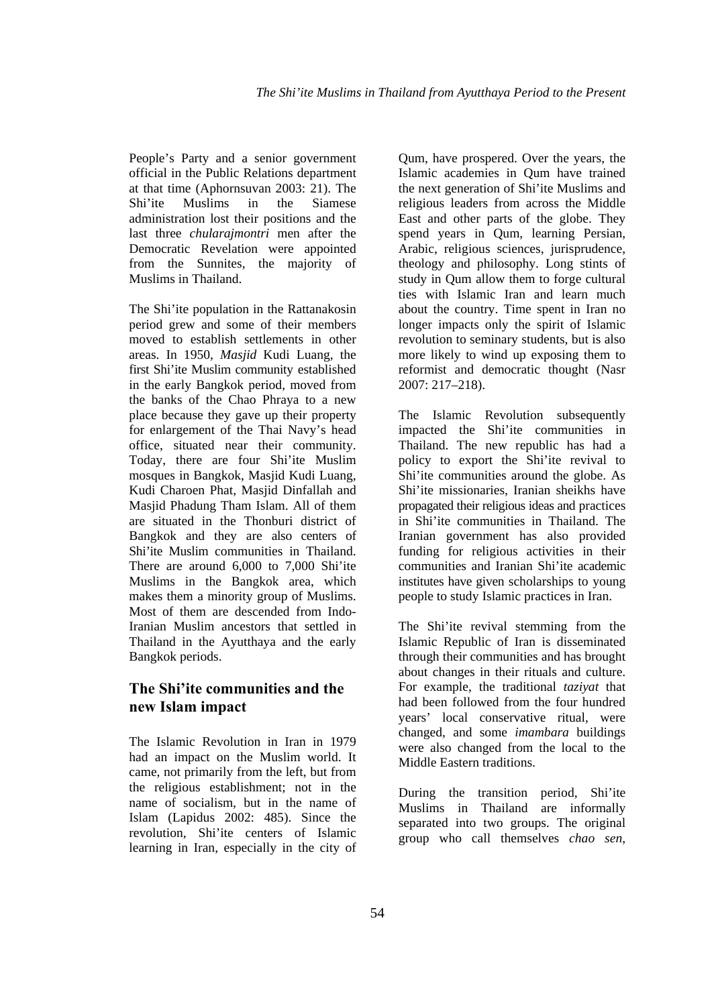People's Party and a senior government official in the Public Relations department at that time (Aphornsuvan 2003: 21). The Shi'ite Muslims in the Siamese administration lost their positions and the last three *chularajmontri* men after the Democratic Revelation were appointed from the Sunnites, the majority of Muslims in Thailand.

The Shi'ite population in the Rattanakosin period grew and some of their members moved to establish settlements in other areas. In 1950, *Masjid* Kudi Luang, the first Shi'ite Muslim community established in the early Bangkok period, moved from the banks of the Chao Phraya to a new place because they gave up their property for enlargement of the Thai Navy's head office, situated near their community. Today, there are four Shi'ite Muslim mosques in Bangkok, Masjid Kudi Luang, Kudi Charoen Phat, Masjid Dinfallah and Masjid Phadung Tham Islam. All of them are situated in the Thonburi district of Bangkok and they are also centers of Shi'ite Muslim communities in Thailand. There are around 6,000 to 7,000 Shi'ite Muslims in the Bangkok area, which makes them a minority group of Muslims. Most of them are descended from Indo-Iranian Muslim ancestors that settled in Thailand in the Ayutthaya and the early Bangkok periods.

#### **The Shi'ite communities and the new Islam impact**

The Islamic Revolution in Iran in 1979 had an impact on the Muslim world. It came, not primarily from the left, but from the religious establishment; not in the name of socialism, but in the name of Islam (Lapidus 2002: 485). Since the revolution, Shi'ite centers of Islamic learning in Iran, especially in the city of Qum, have prospered. Over the years, the Islamic academies in Qum have trained the next generation of Shi'ite Muslims and religious leaders from across the Middle East and other parts of the globe. They spend years in Qum, learning Persian, Arabic, religious sciences, jurisprudence, theology and philosophy. Long stints of study in Qum allow them to forge cultural ties with Islamic Iran and learn much about the country. Time spent in Iran no longer impacts only the spirit of Islamic revolution to seminary students, but is also more likely to wind up exposing them to reformist and democratic thought (Nasr 2007: 217–218).

The Islamic Revolution subsequently impacted the Shi'ite communities in Thailand. The new republic has had a policy to export the Shi'ite revival to Shi'ite communities around the globe. As Shi'ite missionaries, Iranian sheikhs have propagated their religious ideas and practices in Shi'ite communities in Thailand. The Iranian government has also provided funding for religious activities in their communities and Iranian Shi'ite academic institutes have given scholarships to young people to study Islamic practices in Iran.

The Shi'ite revival stemming from the Islamic Republic of Iran is disseminated through their communities and has brought about changes in their rituals and culture. For example, the traditional *taziyat* that had been followed from the four hundred years' local conservative ritual, were changed, and some *imambara* buildings were also changed from the local to the Middle Eastern traditions.

During the transition period, Shi'ite Muslims in Thailand are informally separated into two groups. The original group who call themselves *chao sen*,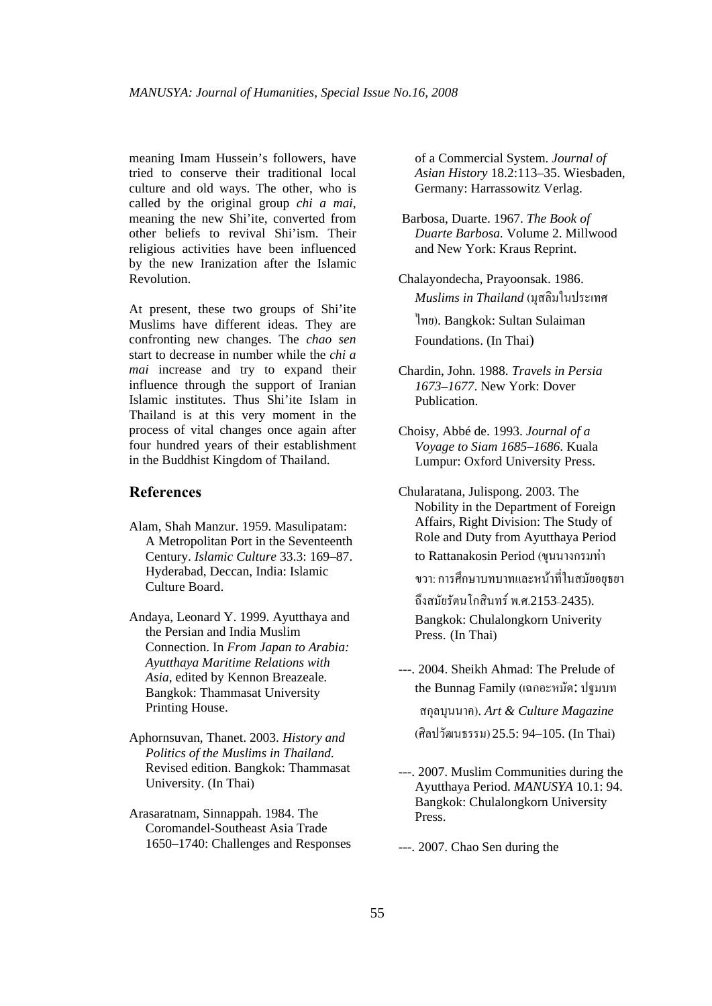meaning Imam Hussein's followers, have tried to conserve their traditional local culture and old ways. The other, who is called by the original group *chi a mai*, meaning the new Shi'ite, converted from other beliefs to revival Shi'ism. Their religious activities have been influenced by the new Iranization after the Islamic Revolution.

At present, these two groups of Shi'ite Muslims have different ideas. They are confronting new changes. The *chao sen* start to decrease in number while the *chi a mai* increase and try to expand their influence through the support of Iranian Islamic institutes. Thus Shi'ite Islam in Thailand is at this very moment in the process of vital changes once again after four hundred years of their establishment in the Buddhist Kingdom of Thailand.

#### **References**

- Alam, Shah Manzur. 1959. Masulipatam: A Metropolitan Port in the Seventeenth Century. *Islamic Culture* 33.3: 169–87. Hyderabad, Deccan, India: Islamic Culture Board.
- Andaya, Leonard Y. 1999. Ayutthaya and the Persian and India Muslim Connection. In *From Japan to Arabia: Ayutthaya Maritime Relations with Asia*, edited by Kennon Breazeale*.*  Bangkok: Thammasat University Printing House.
- Aphornsuvan, Thanet. 2003. *History and Politics of the Muslims in Thailand*. Revised edition. Bangkok: Thammasat University. (In Thai)
- Arasaratnam, Sinnappah. 1984. The Coromandel-Southeast Asia Trade 1650–1740: Challenges and Responses

 of a Commercial System. *Journal of Asian History* 18.2:113–35. Wiesbaden, Germany: Harrassowitz Verlag.

 Barbosa, Duarte. 1967. *The Book of Duarte Barbosa.* Volume 2. Millwood and New York: Kraus Reprint.

Chalayondecha, Prayoonsak. 1986.  *Muslims in Thailand* (มุสลิมในประเทศ ไทย). Bangkok: Sultan Sulaiman Foundations. (In Thai)

- Chardin, John. 1988. *Travels in Persia 1673–1677*. New York: Dover Publication.
- Choisy, Abbé de. 1993. *Journal of a Voyage to Siam 1685–1686*. Kuala Lumpur: Oxford University Press.

Chularatana, Julispong. 2003. The Nobility in the Department of Foreign Affairs, Right Division: The Study of Role and Duty from Ayutthaya Period to Rattanakosin Period (ขุนนางกรมทา

ขวา:การศึกษาบทบาทและหนาที่ในสมัยอยุธยา

ถึงสมัยรัตนโกสินทร์ พ.ศ.2153-2435).

 Bangkok: Chulalongkorn Univerity Press. (In Thai)

- ---. 2004. Sheikh Ahmad: The Prelude of the Bunnag Family (เฉกอะหมัด: ปฐมบท สกุลบุนนาค). *Art & Culture Magazine* (ศิลปวัฒนธรรม) 25.5: 94–105. (In Thai)
- ---. 2007. Muslim Communities during the Ayutthaya Period. *MANUSYA* 10.1: 94. Bangkok: Chulalongkorn University Press.

---. 2007. Chao Sen during the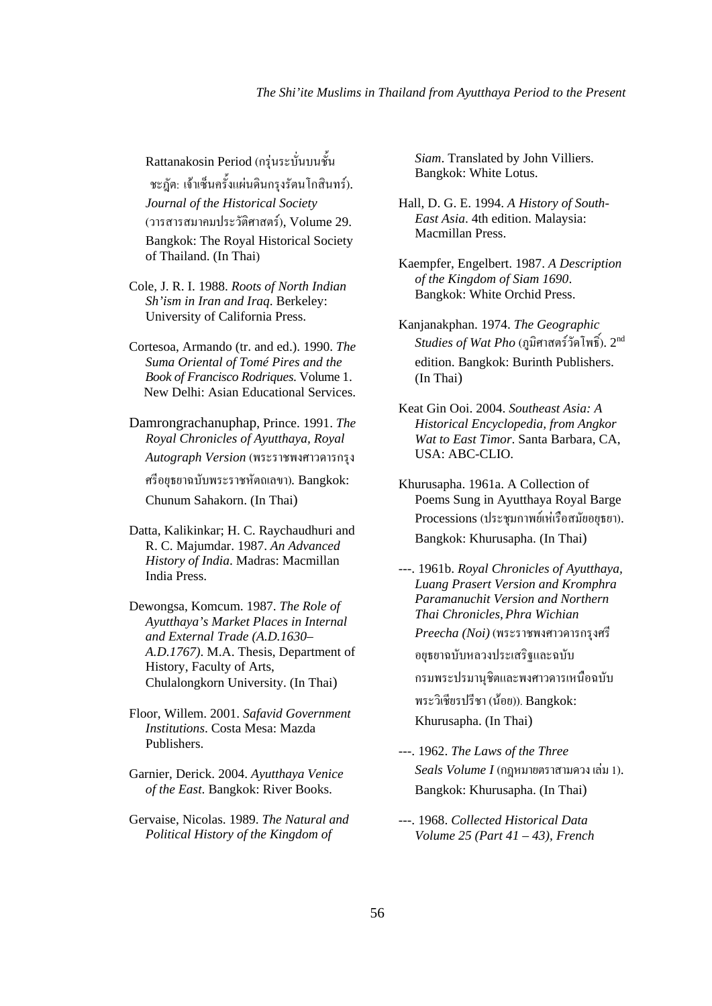Rattanakosin Period (กรุนระบั่นบนชั้น ชะฎัต: เจาเซ็นครั้งแผนดินกรุงรัตนโกสินทร).  *Journal of the Historical Society* (วารสารสมาคมประวัติศาสตร), Volume 29. Bangkok: The Royal Historical Society of Thailand. (In Thai)

- Cole, J. R. I. 1988. *Roots of North Indian Sh'ism in Iran and Iraq*. Berkeley: University of California Press.
- Cortesoa, Armando (tr. and ed.). 1990. *The Suma Oriental of Tomé Pires and the Book of Francisco Rodriques*. Volume 1. **New Delhi: Asian Educational Services.**
- Damrongrachanuphap, Prince. 1991. *The Royal Chronicles of Ayutthaya, Royal Autograph Version* (พระราชพงศาวดารกรุง
	- ศรีอยุธยาฉบับพระราชหัตถเลขา)*.* Bangkok: Chunum Sahakorn. (In Thai)
- Datta, Kalikinkar; H. C. Raychaudhuri and R. C. Majumdar. 1987. *An Advanced History of India*. Madras: Macmillan India Press.
- Dewongsa, Komcum. 1987. *The Role of Ayutthaya's Market Places in Internal and External Trade (A.D.1630– A.D.1767)*. M.A. Thesis, Department of **History, Faculty of Arts,** Chulalongkorn University. (In Thai)
- Floor, Willem. 2001. *Safavid Government Institutions*. Costa Mesa: Mazda Publishers.
- Garnier, Derick. 2004. *Ayutthaya Venice of the East*. Bangkok: River Books.
- Gervaise, Nicolas. 1989. *The Natural and Political History of the Kingdom of*

 *Siam*. Translated by John Villiers. **Bangkok: White Lotus.** 

Hall, D. G. E. 1994. *A History of South- East Asia*. 4th edition. Malaysia: Macmillan Press.

- Kaempfer, Engelbert. 1987. *A Description of the Kingdom of Siam 1690*. Bangkok: White Orchid Press.
- Kanjanakphan. 1974. *The Geographic Studies of Wat Pho* (ภูมิศาสตรวัดโพธิ์). 2nd edition. Bangkok: Burinth Publishers. (In Thai)
- Keat Gin Ooi. 2004. *Southeast Asia: A Historical Encyclopedia, from Angkor Wat to East Timor*. Santa Barbara, CA, USA: ABC-CLIO.
- Khurusapha. 1961a. A Collection of Poems Sung in Ayutthaya Royal Barge Processions (ประชุมกาพย์เห่เรือสมัยอยุธยา). Bangkok: Khurusapha. (In Thai)
- ---. 1961b. *Royal Chronicles of Ayutthaya, Luang Prasert Version and Kromphra Paramanuchit Version and Northern Thai Chronicles, Phra Wichian Preecha (Noi)* (พระราชพงศาวดารกรุงศรี อยุธยาฉบับหลวงประเสริฐและฉบับ
	- กรมพระปรมานุชิตและพงศาวดารเหนือฉบับ

 พระวิเชียรปรีชา (นอย)). Bangkok: Khurusapha. (In Thai)

- ---. 1962. *The Laws of the Three Seals Volume I* (กฎหมายตราสามดวงเลม 1). Bangkok: Khurusapha. (In Thai)
- ---. 1968. *Collected Historical Data Volume 25 (Part 41 – 43), French*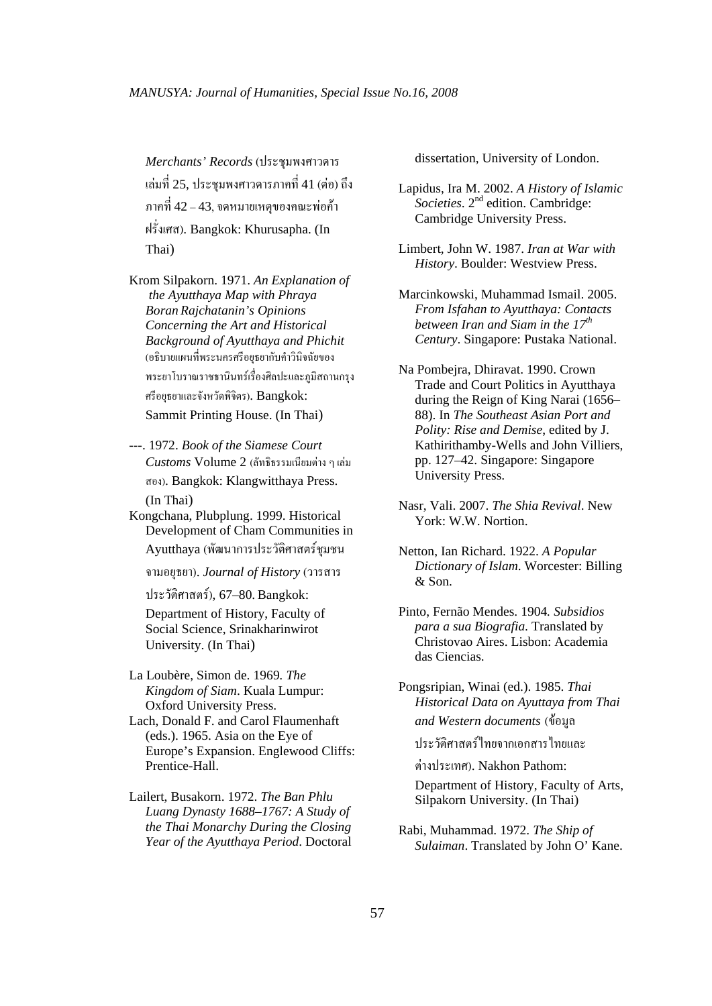*Merchants' Records* (ประชุมพงศาวดาร เลมที่ 25, ประชุมพงศาวดารภาคที่ 41 (ตอ) ถึง ภาคที่ 42 – 43, จดหมายเหตุของคณะพอคา ฝรั่งเศส). Bangkok: Khurusapha. (In Thai)

Krom Silpakorn. 1971. *An Explanation of the Ayutthaya Map with Phraya Boran Rajchatanin's Opinions Concerning the Art and Historical Background of Ayutthaya and Phichit* (อธิบายแผนที่พระนครศรีอยุธยากับคําวินิจฉัยของ พระยาโบราณราชธานินทรเรื่องศิลปะและภูมิสถานกรุง

ศรีอยุธยาและจังหวัดพิจิตร).  $\mathbf{Bangkok:}$ Sammit Printing House. (In Thai)

---. 1972. *Book of the Siamese Court Customs* Volume 2 (ลัทธิธรรมเนียมตาง ๆ เลม สอง). Bangkok: Klangwitthaya Press. (In Thai)

Kongchana, Plubplung. 1999. Historical Development of Cham Communities in Avutthava (พัฒนาการประวัติศาสตร์ชมชน

จามอยุธยา). *Journal of History* (วารสาร

ประวัติศาสตร), 67–80. Bangkok:

 Department of History, Faculty of Social Science, Srinakharinwirot University. (In Thai)

La Loubère, Simon de. 1969*. The Kingdom of Siam*. Kuala Lumpur: **Oxford University Press.** 

Lach, Donald F. and Carol Flaumenhaft (eds.). 1965. Asia on the Eye of Europe's Expansion. Englewood Cliffs: Prentice-Hall.

Lailert, Busakorn. 1972. *The Ban Phlu Luang Dynasty 1688–1767: A Study of the Thai Monarchy During the Closing Year of the Ayutthaya Period*. Doctoral dissertation, University of London.

Lapidus, Ira M. 2002. *A History of Islamic Societies*. 2nd edition. Cambridge: Cambridge University Press.

Limbert, John W. 1987. *Iran at War with History*. Boulder: Westview Press.

Marcinkowski, Muhammad Ismail. 2005. *From Isfahan to Ayutthaya: Contacts between Iran and Siam in the 17th Century*. Singapore: Pustaka National.

- Na Pombejra, Dhiravat. 1990. Crown Trade and Court Politics in Ayutthaya during the Reign of King Narai (1656– 88). In *The Southeast Asian Port and Polity: Rise and Demise*, edited by J. Kathirithamby-Wells and John Villiers, pp. 127–42. Singapore: Singapore University Press.
- Nasr, Vali. 2007. *The Shia Revival*. New York: W.W. Nortion.
- Netton, Ian Richard. 1922. *A Popular Dictionary of Islam*. Worcester: Billing & Son.
- Pinto, Fernão Mendes. 1904*. Subsidios para a sua Biografia*. Translated by Christovao Aires. Lisbon: Academia das Ciencias.
- Pongsripian, Winai (ed.). 1985. *Thai Historical Data on Ayuttaya from Thai and Western documents* (ขอมูล

ประวัติศาสตรไทยจากเอกสารไทยและ

ตางประเทศ). Nakhon Pathom:

 Department of History, Faculty of Arts, Silpakorn University. (In Thai)

Rabi, Muhammad. 1972. *The Ship of Sulaiman*. Translated by John O' Kane.